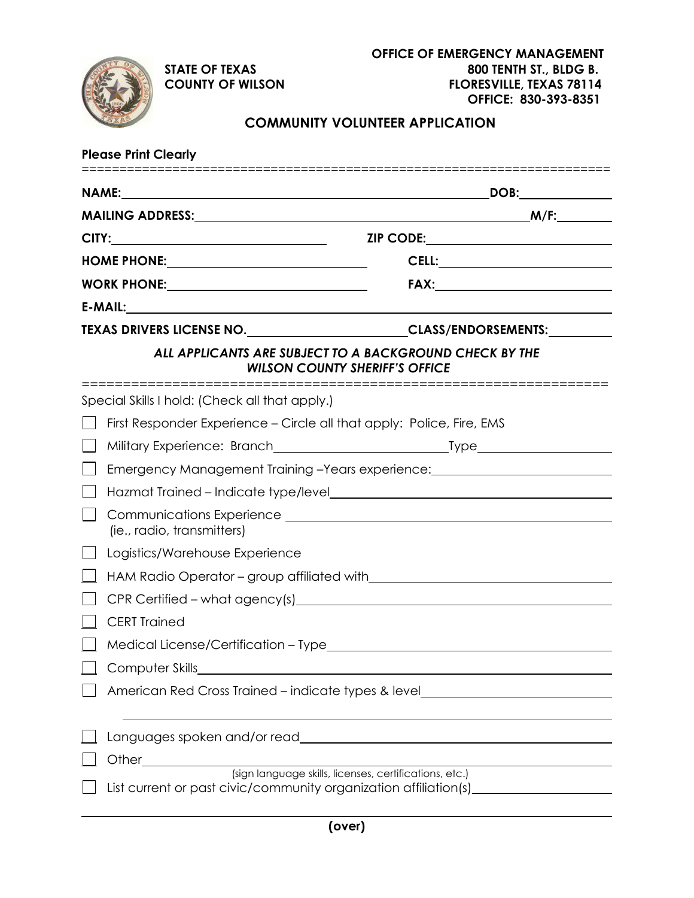

## **COMMUNITY VOLUNTEER APPLICATION**

| <b>Please Print Clearly</b>                    |                                                                                                                            |                                                      |  |
|------------------------------------------------|----------------------------------------------------------------------------------------------------------------------------|------------------------------------------------------|--|
|                                                |                                                                                                                            | DOB:                                                 |  |
|                                                |                                                                                                                            |                                                      |  |
| HOME PHONE: __________________________________ |                                                                                                                            |                                                      |  |
|                                                |                                                                                                                            |                                                      |  |
|                                                |                                                                                                                            |                                                      |  |
|                                                | TEXAS DRIVERS LICENSE NO. ________________________CLASS/ENDORSEMENTS:___________                                           |                                                      |  |
|                                                | ALL APPLICANTS ARE SUBJECT TO A BACKGROUND CHECK BY THE<br><b>WILSON COUNTY SHERIFF'S OFFICE</b>                           |                                                      |  |
|                                                | Special Skills I hold: (Check all that apply.)                                                                             |                                                      |  |
|                                                | First Responder Experience – Circle all that apply: Police, Fire, EMS                                                      |                                                      |  |
|                                                |                                                                                                                            |                                                      |  |
|                                                | Emergency Management Training -Years experience: https://www.management.com/                                               |                                                      |  |
|                                                |                                                                                                                            |                                                      |  |
|                                                | (ie., radio, transmitters)                                                                                                 |                                                      |  |
|                                                | Logistics/Warehouse Experience                                                                                             |                                                      |  |
|                                                |                                                                                                                            |                                                      |  |
|                                                |                                                                                                                            |                                                      |  |
|                                                | <b>CERT Trained</b>                                                                                                        |                                                      |  |
|                                                |                                                                                                                            |                                                      |  |
|                                                | Computer Skills                                                                                                            |                                                      |  |
|                                                | American Red Cross Trained – indicate types & level                                                                        | <u> 1980 - John Stein, mars and de Brandenberg (</u> |  |
|                                                | Languages spoken and/or read explorer and the state of the state of the state of the state of the state of the             |                                                      |  |
|                                                | Other_                                                                                                                     |                                                      |  |
|                                                | (sign language skills, licenses, certifications, etc.)<br>List current or past civic/community organization affiliation(s) |                                                      |  |